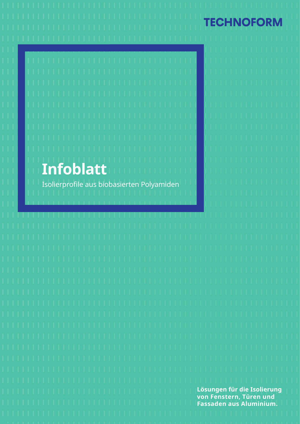